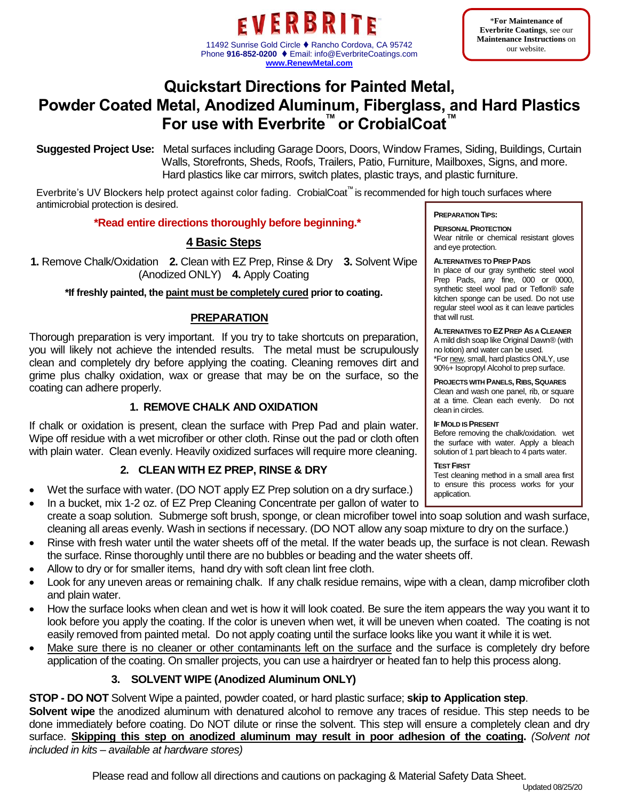

11492 Sunrise Gold Circle ♦ Rancho Cordova, CA 95742 Phone 916-852-0200 ♦ Email: info@EverbriteCoatings.com **[www.RenewMetal.com](http://www.renewmetal.com/)**

\***For Maintenance of Everbrite Coatings**, see our **Maintenance Instructions** on our website.

# **Quickstart Directions for Painted Metal, Powder Coated Metal, Anodized Aluminum, Fiberglass, and Hard Plastics For use with Everbrite™ or CrobialCoat™**

**Suggested Project Use:** Metal surfaces including Garage Doors, Doors, Window Frames, Siding, Buildings, Curtain Walls, Storefronts, Sheds, Roofs, Trailers, Patio, Furniture, Mailboxes, Signs, and more. Hard plastics like car mirrors, switch plates, plastic trays, and plastic furniture.

Everbrite's UV Blockers help protect against color fading. CrobialCoat™ is recommended for high touch surfaces where antimicrobial protection is desired.

## **\*Read entire directions thoroughly before beginning.\***

## **4 Basic Steps**

**1.** Remove Chalk/Oxidation **2.** Clean with EZ Prep, Rinse & Dry **3.** Solvent Wipe (Anodized ONLY) **4.** Apply Coating

**\*If freshly painted, the paint must be completely cured prior to coating.** 

## **PREPARATION**

Thorough preparation is very important. If you try to take shortcuts on preparation, you will likely not achieve the intended results. The metal must be scrupulously clean and completely dry before applying the coating. Cleaning removes dirt and grime plus chalky oxidation, wax or grease that may be on the surface, so the coating can adhere properly.

## **1. REMOVE CHALK AND OXIDATION**

If chalk or oxidation is present, clean the surface with Prep Pad and plain water. Wipe off residue with a wet microfiber or other cloth. Rinse out the pad or cloth often with plain water. Clean evenly. Heavily oxidized surfaces will require more cleaning.

## **2. CLEAN WITH EZ PREP, RINSE & DRY**

- Wet the surface with water. (DO NOT apply EZ Prep solution on a dry surface.)
- In a bucket, mix 1-2 oz. of EZ Prep Cleaning Concentrate per gallon of water to create a soap solution. Submerge soft brush, sponge, or clean microfiber towel into soap solution and wash surface, cleaning all areas evenly. Wash in sections if necessary. (DO NOT allow any soap mixture to dry on the surface.)
- Rinse with fresh water until the water sheets off of the metal. If the water beads up, the surface is not clean. Rewash the surface. Rinse thoroughly until there are no bubbles or beading and the water sheets off.
- Allow to dry or for smaller items, hand dry with soft clean lint free cloth.
- Look for any uneven areas or remaining chalk. If any chalk residue remains, wipe with a clean, damp microfiber cloth and plain water.
- How the surface looks when clean and wet is how it will look coated. Be sure the item appears the way you want it to look before you apply the coating. If the color is uneven when wet, it will be uneven when coated. The coating is not easily removed from painted metal. Do not apply coating until the surface looks like you want it while it is wet.
- Make sure there is no cleaner or other contaminants left on the surface and the surface is completely dry before application of the coating. On smaller projects, you can use a hairdryer or heated fan to help this process along.

## **3. SOLVENT WIPE (Anodized Aluminum ONLY)**

**STOP - DO NOT** Solvent Wipe a painted, powder coated, or hard plastic surface; **skip to Application step**. **Solvent wipe** the anodized aluminum with denatured alcohol to remove any traces of residue. This step needs to be done immediately before coating. Do NOT dilute or rinse the solvent. This step will ensure a completely clean and dry surface. **Skipping this step on anodized aluminum may result in poor adhesion of the coating.** *(Solvent not included in kits – available at hardware stores)* 

Please read and follow all directions and cautions on packaging & Material Safety Data Sheet.

## **PREPARATION TIPS: PERSONAL PROTECTION**

Wear nitrile or chemical resistant gloves and eye protection.

#### **ALTERNATIVES TO PREP PADS**

In place of our gray synthetic steel wool Prep Pads, any fine, 000 or 0000, synthetic steel wool pad or Teflon® safe kitchen sponge can be used. Do not use regular steel wool as it can leave particles that will rust.

**ALTERNATIVES TO EZPREP AS A CLEANER** A mild dish soap like Original Dawn® (with

no lotion) and water can be used. \*For new, small, hard plastics ONLY, use 90%+ Isopropyl Alcohol to prep surface.

## **PROJECTS WITH PANELS, RIBS,SQUARES**

Clean and wash one panel, rib, or square at a time. Clean each evenly. Do not clean in circles.

## **IF MOLD IS PRESENT**

Before removing the chalk/oxidation. wet the surface with water. Apply a bleach solution of 1 part bleach to 4 parts water.

## **TEST FIRST**

Test cleaning method in a small area first to ensure this process works for your application.